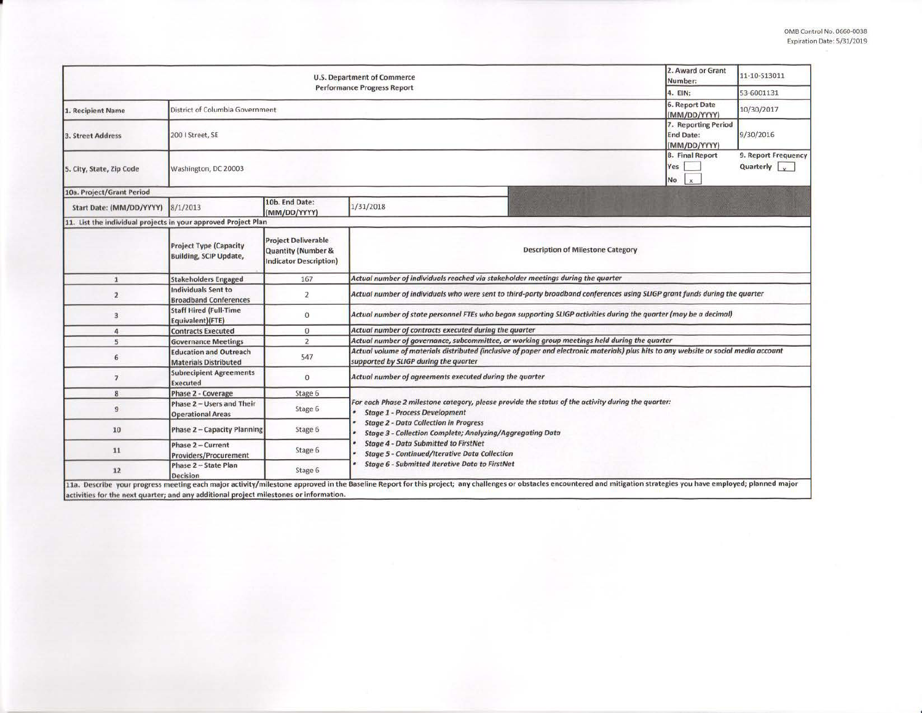| <b>U.S. Department of Commerce</b><br><b>Performance Progress Report</b> |                                                                                                                                                                                                                                                            |                                                                                              |                                                                                                                                                                                                                  |  | 11-10-S13011 |  |  |  |  |
|--------------------------------------------------------------------------|------------------------------------------------------------------------------------------------------------------------------------------------------------------------------------------------------------------------------------------------------------|----------------------------------------------------------------------------------------------|------------------------------------------------------------------------------------------------------------------------------------------------------------------------------------------------------------------|--|--------------|--|--|--|--|
|                                                                          | 4. EIN:                                                                                                                                                                                                                                                    | 53-6001131                                                                                   |                                                                                                                                                                                                                  |  |              |  |  |  |  |
| 1. Recipient Name                                                        | District of Columbia Government                                                                                                                                                                                                                            |                                                                                              |                                                                                                                                                                                                                  |  | 10/30/2017   |  |  |  |  |
| <b>3. Street Address</b>                                                 | 200   Street, SE                                                                                                                                                                                                                                           | 7. Reporting Period<br><b>End Date:</b><br>(MM/DD/YYYY)                                      | 9/30/2016                                                                                                                                                                                                        |  |              |  |  |  |  |
| 5. City, State, Zip Code                                                 | Washington, DC 20003                                                                                                                                                                                                                                       | 8. Final Report<br>Yes<br>No<br>$\mathbf{x}$                                                 | 9. Report Frequency<br>Quarterly                                                                                                                                                                                 |  |              |  |  |  |  |
| 10a. Project/Grant Period                                                |                                                                                                                                                                                                                                                            |                                                                                              |                                                                                                                                                                                                                  |  |              |  |  |  |  |
| Start Date: (MM/DD/YYYY)                                                 | 8/1/2013                                                                                                                                                                                                                                                   | 10b. End Date:<br>(MM/DD/YYYY)                                                               | 1/31/2018                                                                                                                                                                                                        |  |              |  |  |  |  |
| 11. List the individual projects in your approved Project Plan           |                                                                                                                                                                                                                                                            |                                                                                              |                                                                                                                                                                                                                  |  |              |  |  |  |  |
|                                                                          | <b>Project Type (Capacity</b><br><b>Building, SCIP Update,</b>                                                                                                                                                                                             | <b>Project Deliverable</b><br><b>Quantity (Number &amp;</b><br><b>Indicator Description)</b> | <b>Description of Milestone Category</b>                                                                                                                                                                         |  |              |  |  |  |  |
| $\mathbf{1}$                                                             | <b>Stakeholders Engaged</b>                                                                                                                                                                                                                                | 167                                                                                          | Actual number of individuals reached via stakeholder meetings during the quarter                                                                                                                                 |  |              |  |  |  |  |
| $\overline{2}$                                                           | <b>Individuals Sent to</b><br><b>Broadband Conferences</b>                                                                                                                                                                                                 | $\overline{2}$                                                                               | Actual number of individuals who were sent to third-party broadband conferences using SLIGP grant funds during the quarter                                                                                       |  |              |  |  |  |  |
| 3                                                                        | <b>Staff Hired (Full-Time</b><br>Equivalent)(FTE)                                                                                                                                                                                                          | $\theta$                                                                                     | Actual number of state personnel FTEs who began supporting SLIGP activities during the quarter (may be a decimal)                                                                                                |  |              |  |  |  |  |
| $\overline{a}$                                                           | <b>Contracts Executed</b>                                                                                                                                                                                                                                  | $\mathbf{0}$                                                                                 | Actual number of contracts executed during the quarter                                                                                                                                                           |  |              |  |  |  |  |
| 5                                                                        | <b>Governance Meetings</b>                                                                                                                                                                                                                                 | $\overline{2}$                                                                               | Actual number of governance, subcommittee, or working group meetings held during the quarter                                                                                                                     |  |              |  |  |  |  |
| 6                                                                        | <b>Education and Outreach</b><br><b>Materials Distributed</b>                                                                                                                                                                                              | 547                                                                                          | Actual volume of materials distributed (inclusive of paper and electronic materials) plus hits to any website or social media account<br>supported by SLIGP during the quarter                                   |  |              |  |  |  |  |
| $\overline{7}$                                                           | <b>Subrecipient Agreements</b><br><b>Executed</b>                                                                                                                                                                                                          | $\overline{0}$                                                                               | Actual number of agreements executed during the quarter                                                                                                                                                          |  |              |  |  |  |  |
| 8                                                                        | Phase 2 - Coverage                                                                                                                                                                                                                                         | Stage 6                                                                                      |                                                                                                                                                                                                                  |  |              |  |  |  |  |
| 9                                                                        | Phase 2 - Users and Their<br><b>Operational Areas</b>                                                                                                                                                                                                      | Stage 6                                                                                      | For each Phase 2 milestone category, please provide the status of the activity during the quarter:<br><b>Stage 1 - Process Development</b>                                                                       |  |              |  |  |  |  |
| 10                                                                       | Phase 2 - Capacity Planning                                                                                                                                                                                                                                | Stage 6                                                                                      | <b>Stage 2 - Data Collection in Progress</b><br>Stage 3 - Collection Complete; Analyzing/Aggregating Data<br><b>Stage 4 - Data Submitted to FirstNet</b><br><b>Stage 5 - Continued/Iterative Data Collection</b> |  |              |  |  |  |  |
| 11                                                                       | Phase 2 - Current<br><b>Providers/Procurement</b>                                                                                                                                                                                                          | Stage 6                                                                                      |                                                                                                                                                                                                                  |  |              |  |  |  |  |
| 12                                                                       | Phase 2 - State Plan<br>Decision<br>11a. Describe your progress meeting each major activity/milestone approved in the Baseline Report for this project; any challenges or obstacles encountered and mitigation strategies you have employed; planned major | Stage 6                                                                                      | Stage 6 - Submitted Iterative Data to FirstNet                                                                                                                                                                   |  |              |  |  |  |  |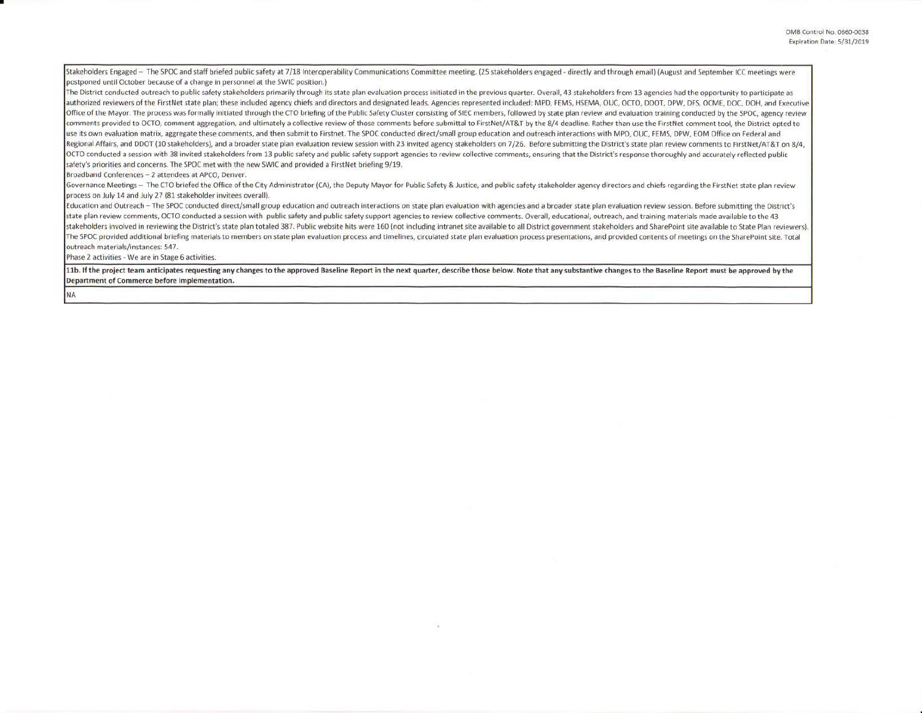Stakeholders Engaged - The SPOC and staff briefed public safety at 7/18 Interoperability Communications Committee meeting. (25 stakeholders engaged - directly and through email) (August and September ICC meetings were postponed until October because of a change in personnel at the SWIC position.)

The District conducted outreach to public safety stakeholders primarily through its state plan evaluation process initiated in the previous quarter. Overall, 43 stakeholders from 13 agencies had the opportunity to particip authorized reviewers of the FirstNet state plan; these included agency chiefs and directors and designated leads. Agencies represented included: MPD, FEMS, HSEMA, OUC, OCTO, DDOT, DPW, DFS, OCME, DOC, DOH, and Executive Office of the Mayor. The process was formally initiated through the CTO briefing of the Public Safety Cluster consisting of SIEC members, followed by state plan review and evaluation training conducted by the SPOC, agency comments provided to OCTO, comment aggregation, and ultimately a collective review of those comments before submittal to FirstNet/AT&T by the 8/4 deadline. Rather than use the FirstNet comment tool, the District opted to use its own evaluation matrix, aggregate these comments, and then submit to Firstnet. The SPOC conducted direct/small group education and outreach interactions with MPD, OUC, FEMS, DPW, EOM Office on Federal and Regional Affairs, and DDOT (10 stakeholders), and a broader state plan evaluation review session with 23 invited agency stakeholders on 7/26. Before submitting the District's state plan review comments to FirstNet/AT&T on OCTO conducted a session with 38 invited stakeholders from 13 public safety and public safety support agencies to review collective comments, ensuring that the District's response thoroughly and accurately reflected public safety's priorities and concerns. The SPOC met with the new SWIC and provided a FirstNet briefing 9/19.

Broadband Conferences - 2 attendees at APCO, Denver.

Governance Meetings - The CTO briefed the Office of the City Administrator (CA), the Deputy Mayor for Public Safety & Justice, and public safety stakeholder agency directors and chiefs regarding the FirstNet state plan rev process on July 14 and July 27 {81 stakeholder invitees overall).

Education and Outreach -The SPOC conducted direct/small group education and outreach interactions on state plan evaluation with agencies and a broader state plan evaluation review session. Before submitting the District's state plan review comments, OCTO conducted a session with public safety and public safety support agencies to review collective comments. Overall, educational, outreach, and training materials made available to the 43 stakeholders involved in reviewing the District's state plan totaled 387. Public website hits were 160 (not including intranet site available to all District government stakeholders and SharePoint site available to State P The SPOC provided additional briefing materials to members on state plan evaluation process and timelines, circulated state plan evaluation process presentations, and provided contents of meetings on the SharePoint site. T outreach materials/instances: 547.

Phase 2 activities - We are in Stage 6 activities.

NA

•

11b. If the project team anticipates requesting any changes to the approved Baseline Report in the next quarter, describe those below. Note that any substantive changes to the Baseline Report must be approved by the Department of Commerce before implementation.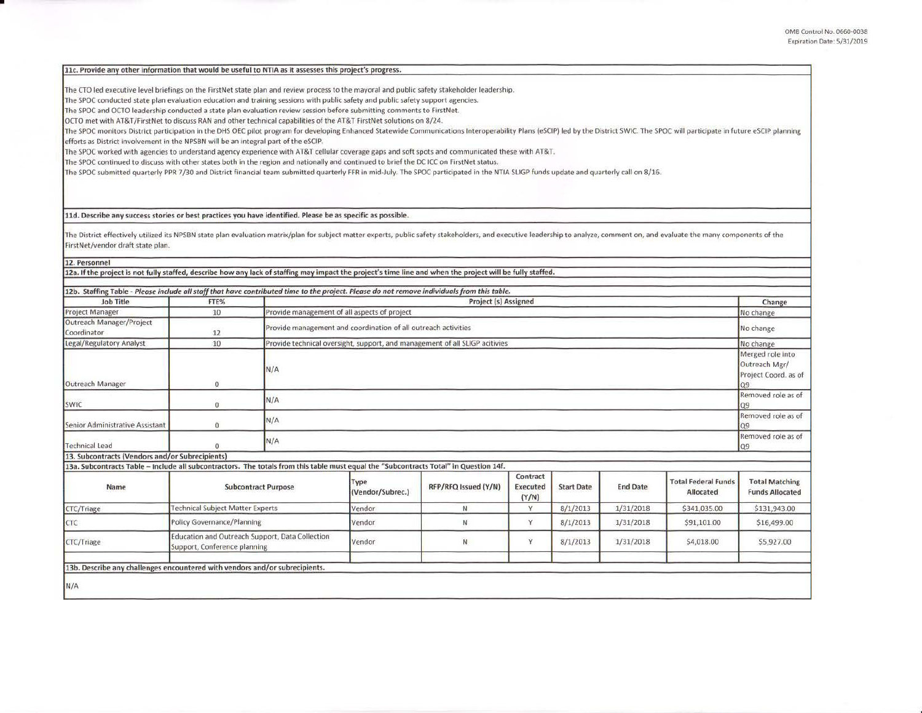## 11c. Provide any other information that would be useful to NTIA as it assesses this project's progress.

The CTO led executive level briefings on the FirstNet state plan and review process to the mayoral and public safety stakeholder leadership.

The SPOC conducted state plan evaluation education and training sessions with public safety and public safety support agencies.

The SPOC and OCTO leadership conducted a state plan evaluation review session before submitting comments to FirstNet.

OCTO met with AT&T/FirstNet to discuss RAN and other technical capabilities of the AT&T FirstNet solutions on 8/24.

The SPOC monitors District participation in the DHS OEC pilot program for developing Enhanced Statewide Communications Interoperability Plans (eSCIP) led by the District SWIC. The SPOC will participate in future eSCIP plan efforts as District involvement in the NPSBN will be an integral part of the eSCIP.

The SPOC worked with agencies to understand agency experience with AT&T cellular coverage gaps and soft spots and communicated these with AT&T.

The SPOC continued to discuss with other states both in the region and nationally and continued to brief the DC ICC on FirstNet status.

The SPOC submitted quarterly PPR 7/30 and District financial team submitted quarterly FFR in mid-July. The SPOC participated in the NTIA SLIGP funds update and quarterly call on 8/16.

**lld. Describe any success stories or best practices you have identified. Please be as specific as possible.** 

The District effectively utilized its NPSBN state plan evaluation matrix/plan for subject matter experts, public safety stakeholders, and executive leadership to analyze, comment on, and evaluate the many components of the FirstNet/vendor draft state plan.

**12. Personnel** 

•

12a. If the project is not fully staffed, describe how any lack of staffing may impact the project's time line and when the project will be fully staffed.

| 12b. Staffing Table - Please include all staff that have contributed time to the project. Please do not remove individuals from this table. |                                                                                 |                                                                             |                                              |                      |                                      |                   |                 |                                                |                                                                 |
|---------------------------------------------------------------------------------------------------------------------------------------------|---------------------------------------------------------------------------------|-----------------------------------------------------------------------------|----------------------------------------------|----------------------|--------------------------------------|-------------------|-----------------|------------------------------------------------|-----------------------------------------------------------------|
| Job Title                                                                                                                                   | FTE%                                                                            |                                                                             | <b>Project (s) Assigned</b>                  |                      |                                      |                   |                 |                                                | Change                                                          |
| <b>Project Manager</b>                                                                                                                      | 10                                                                              |                                                                             | Provide management of all aspects of project |                      |                                      |                   |                 |                                                | No change                                                       |
| Outreach Manager/Project<br>Coordinator                                                                                                     | 12                                                                              | Provide management and coordination of all outreach activities              |                                              |                      |                                      |                   |                 |                                                | No change                                                       |
| Legal/Regulatory Analyst                                                                                                                    | 10                                                                              | Provide technical oversight, support, and management of all SLIGP acitivies |                                              |                      |                                      |                   |                 |                                                | No change                                                       |
| Outreach Manager                                                                                                                            | $\Omega$                                                                        | N/A                                                                         |                                              |                      |                                      |                   |                 |                                                | Merged role into<br>Outreach Mgr/<br>Project Coord. as of<br>09 |
| SWIC                                                                                                                                        | 0                                                                               | N/A                                                                         | Removed role as of<br>Q9                     |                      |                                      |                   |                 |                                                |                                                                 |
| Senior Administrative Assistant                                                                                                             | $\overline{0}$                                                                  | N/A                                                                         |                                              |                      |                                      |                   |                 | Removed role as of                             |                                                                 |
| <b>Technical Lead</b>                                                                                                                       | $\Omega$                                                                        | N/A                                                                         |                                              |                      |                                      |                   |                 | Removed role as of<br>Q9                       |                                                                 |
| 13. Subcontracts (Vendors and/or Subrecipients)                                                                                             |                                                                                 |                                                                             |                                              |                      |                                      |                   |                 |                                                |                                                                 |
| 13a. Subcontracts Table - Include all subcontractors. The totals from this table must equal the "Subcontracts Total" in Question 14f.       |                                                                                 |                                                                             |                                              |                      |                                      |                   |                 |                                                |                                                                 |
| Name                                                                                                                                        | <b>Subcontract Purpose</b>                                                      |                                                                             | Type<br>(Vendor/Subrec.)                     | RFP/RFQ Issued (Y/N) | Contract<br><b>Executed</b><br>(Y/N) | <b>Start Date</b> | <b>End Date</b> | <b>Total Federal Funds</b><br><b>Allocated</b> | <b>Total Matching</b><br><b>Funds Allocated</b>                 |
| CTC/Triage                                                                                                                                  | <b>Technical Subject Matter Experts</b>                                         |                                                                             | Vendor                                       | N.                   | v                                    | 8/1/2013          | 1/31/2018       | \$341,035.00                                   | \$131,943.00                                                    |
| CTC                                                                                                                                         | Policy Governance/Planning                                                      |                                                                             | Vendor                                       | N                    | Y                                    | 8/1/2013          | 1/31/2018       | \$91,101.00                                    | \$16,499.00                                                     |
| CTC/Triage                                                                                                                                  | Education and Outreach Support, Data Collection<br>Support, Conference planning |                                                                             | Vendor                                       | $\mathsf{N}$         | Ÿ                                    | 8/1/2013          | 1/31/2018       | \$4,018.00                                     | \$5,927.00                                                      |
| 13b. Describe any challenges encountered with vendors and/or subrecipients.                                                                 |                                                                                 |                                                                             |                                              |                      |                                      |                   |                 |                                                |                                                                 |
|                                                                                                                                             |                                                                                 |                                                                             |                                              |                      |                                      |                   |                 |                                                |                                                                 |
| N/A                                                                                                                                         |                                                                                 |                                                                             |                                              |                      |                                      |                   |                 |                                                |                                                                 |